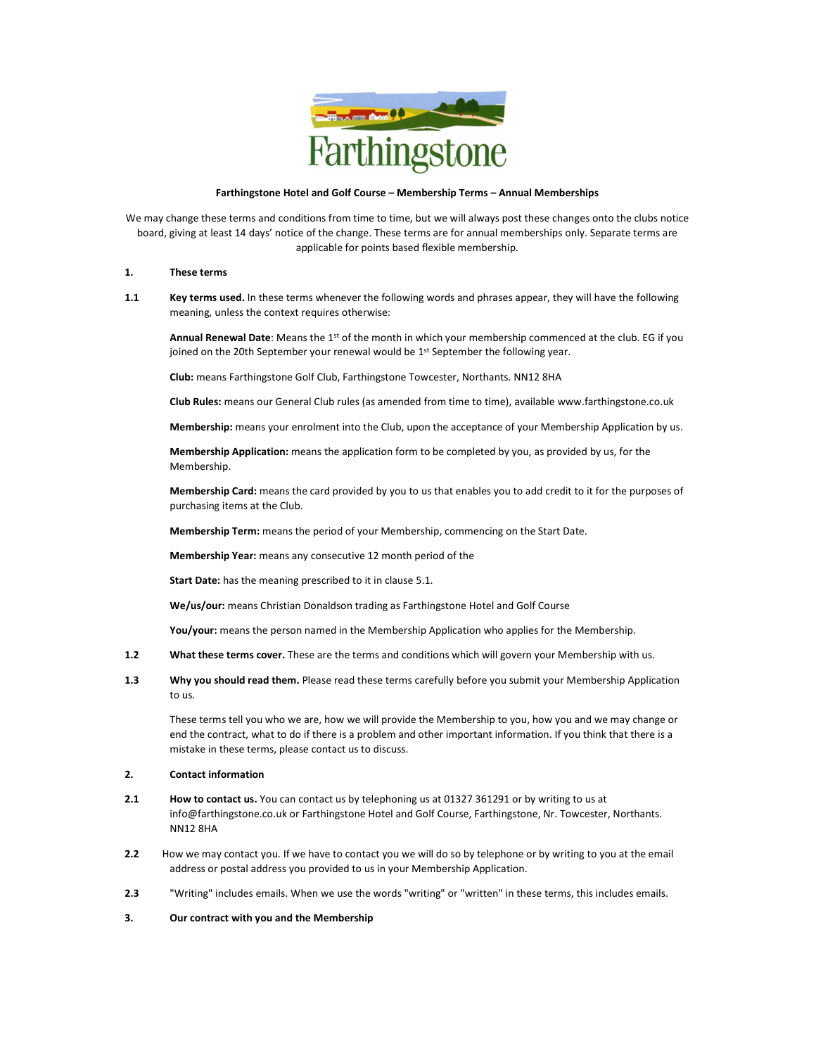

### Farthingstone Hotel and Golf Course – Membership Terms – Annual Memberships

We may change these terms and conditions from time to time, but we will always post these changes onto the clubs notice board, giving at least 14 days' notice of the change. These terms are for annual memberships only. Separate terms are applicable for points based flexible membership.

#### 1. These terms

1.1 Key terms used. In these terms whenever the following words and phrases appear, they will have the following meaning, unless the context requires otherwise:

Annual Renewal Date: Means the 1<sup>st</sup> of the month in which your membership commenced at the club. EG if you joined on the 20th September your renewal would be 1<sup>st</sup> September the following year.

Club: means Farthingstone Golf Club, Farthingstone Towcester, Northants. NN12 8HA

Club Rules: means our General Club rules (as amended from time to time), available www.farthingstone.co.uk

Membership: means your enrolment into the Club, upon the acceptance of your Membership Application by us.

Membership Application: means the application form to be completed by you, as provided by us, for the Membership.

Membership Card: means the card provided by you to us that enables you to add credit to it for the purposes of purchasing items at the Club.

Membership Term: means the period of your Membership, commencing on the Start Date.

Membership Year: means any consecutive 12 month period of the

Start Date: has the meaning prescribed to it in clause 5.1.

We/us/our: means Christian Donaldson trading as Farthingstone Hotel and Golf Course

You/your: means the person named in the Membership Application who applies for the Membership.

- 1.2 What these terms cover. These are the terms and conditions which will govern your Membership with us.
- 1.3 Why you should read them. Please read these terms carefully before you submit your Membership Application to us.

These terms tell you who we are, how we will provide the Membership to you, how you and we may change or end the contract, what to do if there is a problem and other important information. If you think that there is a mistake in these terms, please contact us to discuss.

### 2. Contact information

- 2.1 How to contact us. You can contact us by telephoning us at 01327 361291 or by writing to us at info@farthingstone.co.uk or Farthingstone Hotel and Golf Course, Farthingstone, Nr. Towcester, Northants. NN12 8HA
- 2.2 How we may contact you. If we have to contact you we will do so by telephone or by writing to you at the email address or postal address you provided to us in your Membership Application.
- 2.3 "Writing" includes emails. When we use the words "writing" or "written" in these terms, this includes emails.

## 3. Our contract with you and the Membership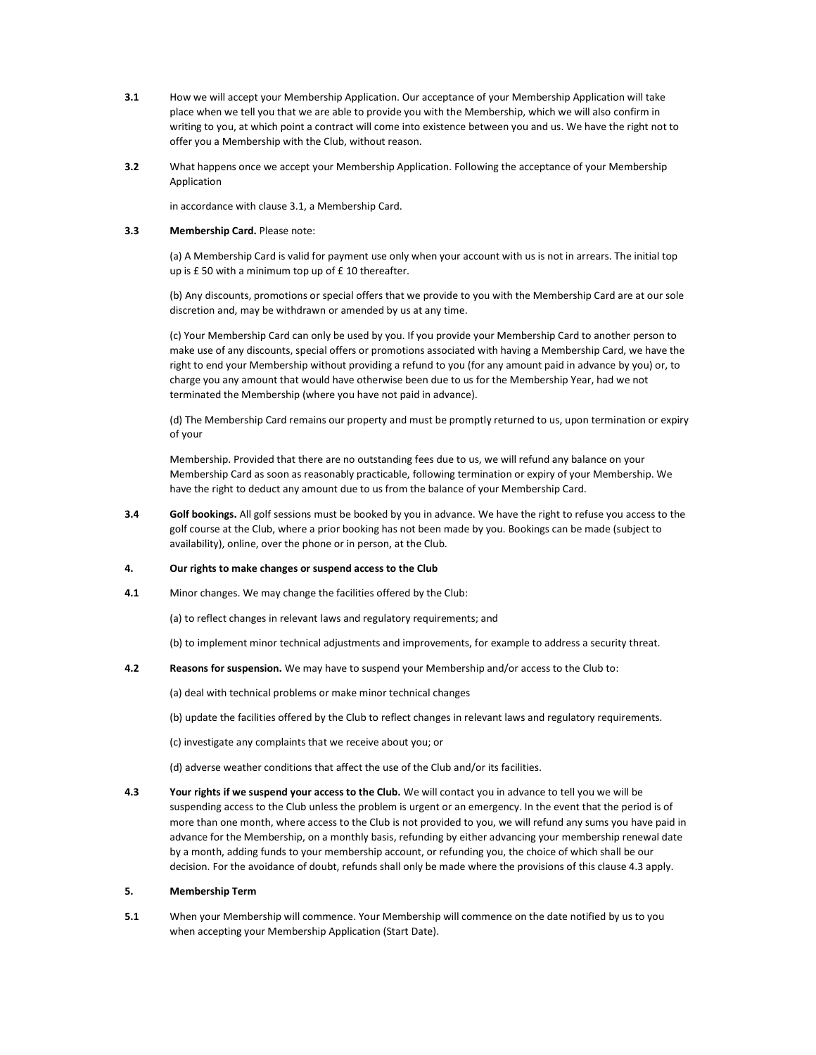- 3.1 How we will accept your Membership Application. Our acceptance of your Membership Application will take place when we tell you that we are able to provide you with the Membership, which we will also confirm in writing to you, at which point a contract will come into existence between you and us. We have the right not to offer you a Membership with the Club, without reason.
- 3.2 What happens once we accept your Membership Application. Following the acceptance of your Membership Application

in accordance with clause 3.1, a Membership Card.

## 3.3 Membership Card. Please note:

(a) A Membership Card is valid for payment use only when your account with us is not in arrears. The initial top up is £ 50 with a minimum top up of £ 10 thereafter.

(b) Any discounts, promotions or special offers that we provide to you with the Membership Card are at our sole discretion and, may be withdrawn or amended by us at any time.

(c) Your Membership Card can only be used by you. If you provide your Membership Card to another person to make use of any discounts, special offers or promotions associated with having a Membership Card, we have the right to end your Membership without providing a refund to you (for any amount paid in advance by you) or, to charge you any amount that would have otherwise been due to us for the Membership Year, had we not terminated the Membership (where you have not paid in advance).

(d) The Membership Card remains our property and must be promptly returned to us, upon termination or expiry of your

Membership. Provided that there are no outstanding fees due to us, we will refund any balance on your Membership Card as soon as reasonably practicable, following termination or expiry of your Membership. We have the right to deduct any amount due to us from the balance of your Membership Card.

3.4 Golf bookings. All golf sessions must be booked by you in advance. We have the right to refuse you access to the golf course at the Club, where a prior booking has not been made by you. Bookings can be made (subject to availability), online, over the phone or in person, at the Club.

### 4. Our rights to make changes or suspend access to the Club

- 4.1 Minor changes. We may change the facilities offered by the Club:
	- (a) to reflect changes in relevant laws and regulatory requirements; and

(b) to implement minor technical adjustments and improvements, for example to address a security threat.

4.2 Reasons for suspension. We may have to suspend your Membership and/or access to the Club to:

(a) deal with technical problems or make minor technical changes

(b) update the facilities offered by the Club to reflect changes in relevant laws and regulatory requirements.

- (c) investigate any complaints that we receive about you; or
- (d) adverse weather conditions that affect the use of the Club and/or its facilities.
- 4.3 Your rights if we suspend your access to the Club. We will contact you in advance to tell you we will be suspending access to the Club unless the problem is urgent or an emergency. In the event that the period is of more than one month, where access to the Club is not provided to you, we will refund any sums you have paid in advance for the Membership, on a monthly basis, refunding by either advancing your membership renewal date by a month, adding funds to your membership account, or refunding you, the choice of which shall be our decision. For the avoidance of doubt, refunds shall only be made where the provisions of this clause 4.3 apply.

### 5. Membership Term

5.1 When your Membership will commence. Your Membership will commence on the date notified by us to you when accepting your Membership Application (Start Date).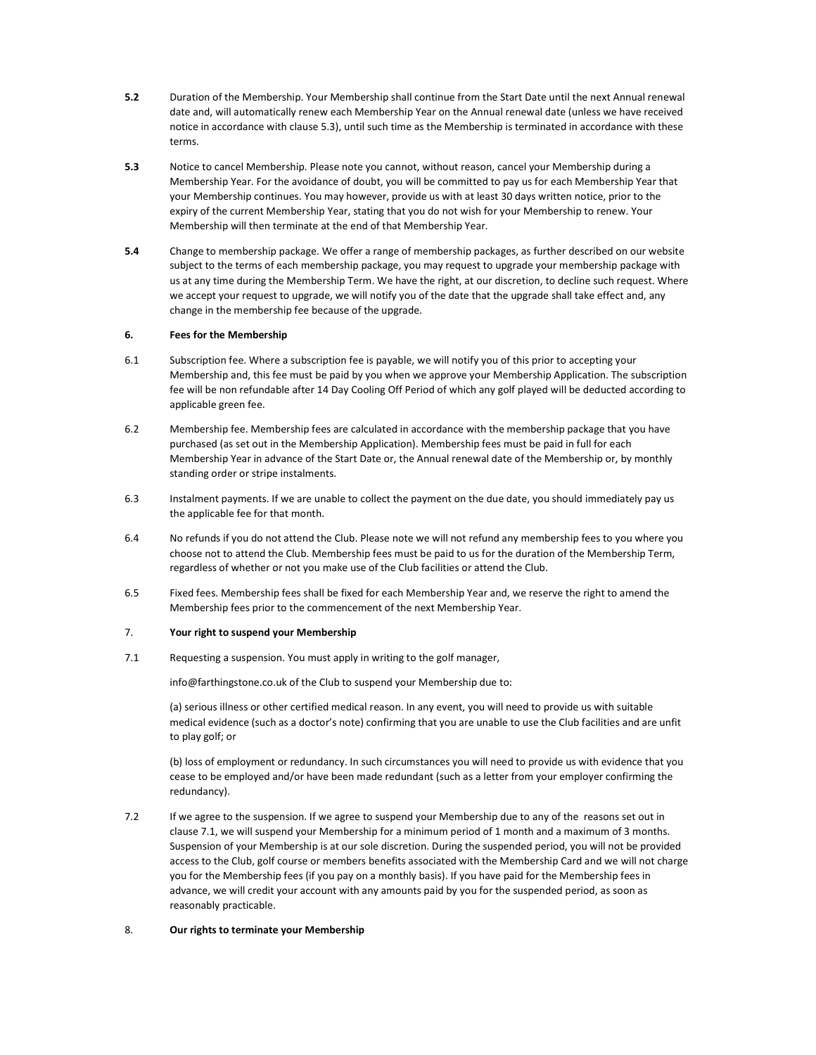- 5.2 Duration of the Membership. Your Membership shall continue from the Start Date until the next Annual renewal date and, will automatically renew each Membership Year on the Annual renewal date (unless we have received notice in accordance with clause 5.3), until such time as the Membership is terminated in accordance with these terms.
- 5.3 Notice to cancel Membership. Please note you cannot, without reason, cancel your Membership during a Membership Year. For the avoidance of doubt, you will be committed to pay us for each Membership Year that your Membership continues. You may however, provide us with at least 30 days written notice, prior to the expiry of the current Membership Year, stating that you do not wish for your Membership to renew. Your Membership will then terminate at the end of that Membership Year.
- 5.4 Change to membership package. We offer a range of membership packages, as further described on our website subject to the terms of each membership package, you may request to upgrade your membership package with us at any time during the Membership Term. We have the right, at our discretion, to decline such request. Where we accept your request to upgrade, we will notify you of the date that the upgrade shall take effect and, any change in the membership fee because of the upgrade.

## 6. Fees for the Membership

- 6.1 Subscription fee. Where a subscription fee is payable, we will notify you of this prior to accepting your Membership and, this fee must be paid by you when we approve your Membership Application. The subscription fee will be non refundable after 14 Day Cooling Off Period of which any golf played will be deducted according to applicable green fee.
- 6.2 Membership fee. Membership fees are calculated in accordance with the membership package that you have purchased (as set out in the Membership Application). Membership fees must be paid in full for each Membership Year in advance of the Start Date or, the Annual renewal date of the Membership or, by monthly standing order or stripe instalments.
- 6.3 Instalment payments. If we are unable to collect the payment on the due date, you should immediately pay us the applicable fee for that month.
- 6.4 No refunds if you do not attend the Club. Please note we will not refund any membership fees to you where you choose not to attend the Club. Membership fees must be paid to us for the duration of the Membership Term, regardless of whether or not you make use of the Club facilities or attend the Club.
- 6.5 Fixed fees. Membership fees shall be fixed for each Membership Year and, we reserve the right to amend the Membership fees prior to the commencement of the next Membership Year.

### 7. Your right to suspend your Membership

7.1 Requesting a suspension. You must apply in writing to the golf manager,

info@farthingstone.co.uk of the Club to suspend your Membership due to:

(a) serious illness or other certified medical reason. In any event, you will need to provide us with suitable medical evidence (such as a doctor's note) confirming that you are unable to use the Club facilities and are unfit to play golf; or

(b) loss of employment or redundancy. In such circumstances you will need to provide us with evidence that you cease to be employed and/or have been made redundant (such as a letter from your employer confirming the redundancy).

7.2 If we agree to the suspension. If we agree to suspend your Membership due to any of the reasons set out in clause 7.1, we will suspend your Membership for a minimum period of 1 month and a maximum of 3 months. Suspension of your Membership is at our sole discretion. During the suspended period, you will not be provided access to the Club, golf course or members benefits associated with the Membership Card and we will not charge you for the Membership fees (if you pay on a monthly basis). If you have paid for the Membership fees in advance, we will credit your account with any amounts paid by you for the suspended period, as soon as reasonably practicable.

### 8. Our rights to terminate your Membership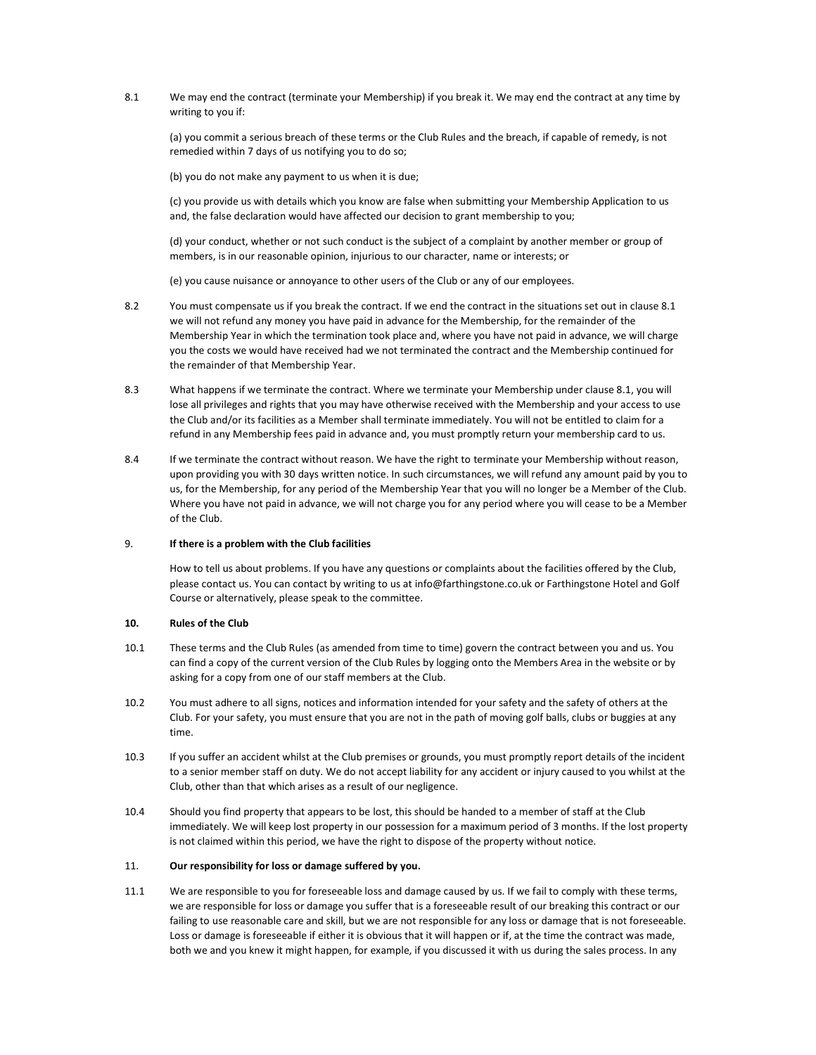8.1 We may end the contract (terminate your Membership) if you break it. We may end the contract at any time by writing to you if:

(a) you commit a serious breach of these terms or the Club Rules and the breach, if capable of remedy, is not remedied within 7 days of us notifying you to do so;

(b) you do not make any payment to us when it is due;

(c) you provide us with details which you know are false when submitting your Membership Application to us and, the false declaration would have affected our decision to grant membership to you;

(d) your conduct, whether or not such conduct is the subject of a complaint by another member or group of members, is in our reasonable opinion, injurious to our character, name or interests; or

(e) you cause nuisance or annoyance to other users of the Club or any of our employees.

- 8.2 You must compensate us if you break the contract. If we end the contract in the situations set out in clause 8.1 we will not refund any money you have paid in advance for the Membership, for the remainder of the Membership Year in which the termination took place and, where you have not paid in advance, we will charge you the costs we would have received had we not terminated the contract and the Membership continued for the remainder of that Membership Year.
- 8.3 What happens if we terminate the contract. Where we terminate your Membership under clause 8.1, you will lose all privileges and rights that you may have otherwise received with the Membership and your access to use the Club and/or its facilities as a Member shall terminate immediately. You will not be entitled to claim for a refund in any Membership fees paid in advance and, you must promptly return your membership card to us.
- 8.4 If we terminate the contract without reason. We have the right to terminate your Membership without reason, upon providing you with 30 days written notice. In such circumstances, we will refund any amount paid by you to us, for the Membership, for any period of the Membership Year that you will no longer be a Member of the Club. Where you have not paid in advance, we will not charge you for any period where you will cease to be a Member of the Club.

### 9. If there is a problem with the Club facilities

How to tell us about problems. If you have any questions or complaints about the facilities offered by the Club, please contact us. You can contact by writing to us at info@farthingstone.co.uk or Farthingstone Hotel and Golf Course or alternatively, please speak to the committee.

# 10. Rules of the Club

- 10.1 These terms and the Club Rules (as amended from time to time) govern the contract between you and us. You can find a copy of the current version of the Club Rules by logging onto the Members Area in the website or by asking for a copy from one of our staff members at the Club.
- 10.2 You must adhere to all signs, notices and information intended for your safety and the safety of others at the Club. For your safety, you must ensure that you are not in the path of moving golf balls, clubs or buggies at any time.
- 10.3 If you suffer an accident whilst at the Club premises or grounds, you must promptly report details of the incident to a senior member staff on duty. We do not accept liability for any accident or injury caused to you whilst at the Club, other than that which arises as a result of our negligence.
- 10.4 Should you find property that appears to be lost, this should be handed to a member of staff at the Club immediately. We will keep lost property in our possession for a maximum period of 3 months. If the lost property is not claimed within this period, we have the right to dispose of the property without notice.

### 11. Our responsibility for loss or damage suffered by you.

11.1 We are responsible to you for foreseeable loss and damage caused by us. If we fail to comply with these terms, we are responsible for loss or damage you suffer that is a foreseeable result of our breaking this contract or our failing to use reasonable care and skill, but we are not responsible for any loss or damage that is not foreseeable. Loss or damage is foreseeable if either it is obvious that it will happen or if, at the time the contract was made, both we and you knew it might happen, for example, if you discussed it with us during the sales process. In any